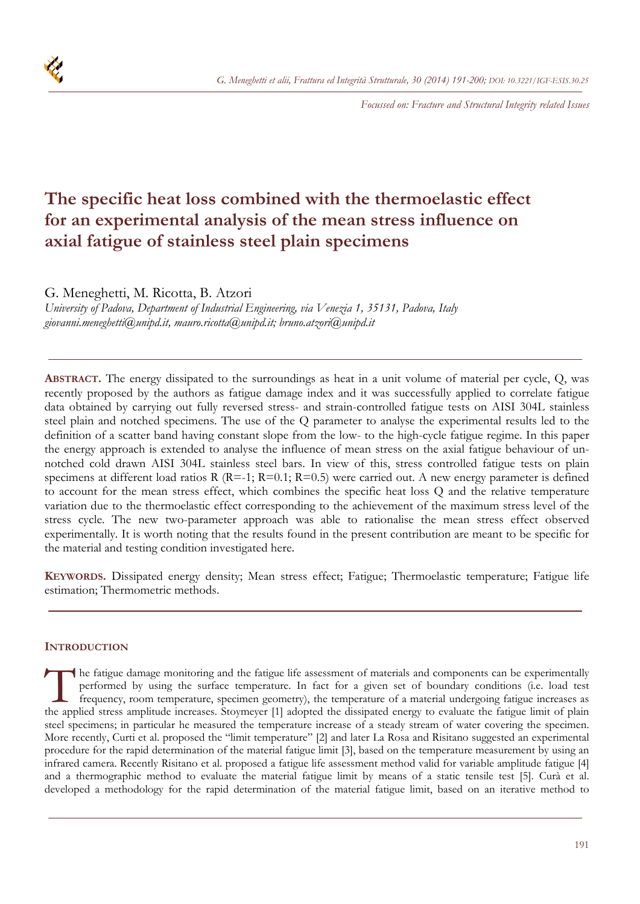

*Focussed on: Fracture and Structural Integrity related Issues* 

# **The specific heat loss combined with the thermoelastic effect for an experimental analysis of the mean stress influence on axial fatigue of stainless steel plain specimens**

G. Meneghetti, M. Ricotta, B. Atzori

*University of Padova, Department of Industrial Engineering, via Venezia 1, 35131, Padova, Italy giovanni.meneghetti@unipd.it, mauro.ricotta@unipd.it; bruno.atzori@unipd.it* 

**ABSTRACT.** The energy dissipated to the surroundings as heat in a unit volume of material per cycle, Q, was recently proposed by the authors as fatigue damage index and it was successfully applied to correlate fatigue data obtained by carrying out fully reversed stress- and strain-controlled fatigue tests on AISI 304L stainless steel plain and notched specimens. The use of the Q parameter to analyse the experimental results led to the definition of a scatter band having constant slope from the low- to the high-cycle fatigue regime. In this paper the energy approach is extended to analyse the influence of mean stress on the axial fatigue behaviour of unnotched cold drawn AISI 304L stainless steel bars. In view of this, stress controlled fatigue tests on plain specimens at different load ratios R (R=-1; R=0.1; R=0.5) were carried out. A new energy parameter is defined to account for the mean stress effect, which combines the specific heat loss Q and the relative temperature variation due to the thermoelastic effect corresponding to the achievement of the maximum stress level of the stress cycle. The new two-parameter approach was able to rationalise the mean stress effect observed experimentally. It is worth noting that the results found in the present contribution are meant to be specific for the material and testing condition investigated here.

**KEYWORDS.** Dissipated energy density; Mean stress effect; Fatigue; Thermoelastic temperature; Fatigue life estimation; Thermometric methods.

# **INTRODUCTION**

he fatigue damage monitoring and the fatigue life assessment of materials and components can be experimentally performed by using the surface temperature. In fact for a given set of boundary conditions (i.e. load test frequency, room temperature, specimen geometry), the temperature of a material undergoing fatigue increases as The fatigue damage monitoring and the fatigue life assessment of materials and components can be experimentally performed by using the surface temperature. In fact for a given set of boundary conditions (i.e. load test fre steel specimens; in particular he measured the temperature increase of a steady stream of water covering the specimen. More recently, Curti et al. proposed the "limit temperature" [2] and later La Rosa and Risitano suggested an experimental procedure for the rapid determination of the material fatigue limit [3], based on the temperature measurement by using an infrared camera. Recently Risitano et al. proposed a fatigue life assessment method valid for variable amplitude fatigue [4] and a thermographic method to evaluate the material fatigue limit by means of a static tensile test [5]. Curà et al. developed a methodology for the rapid determination of the material fatigue limit, based on an iterative method to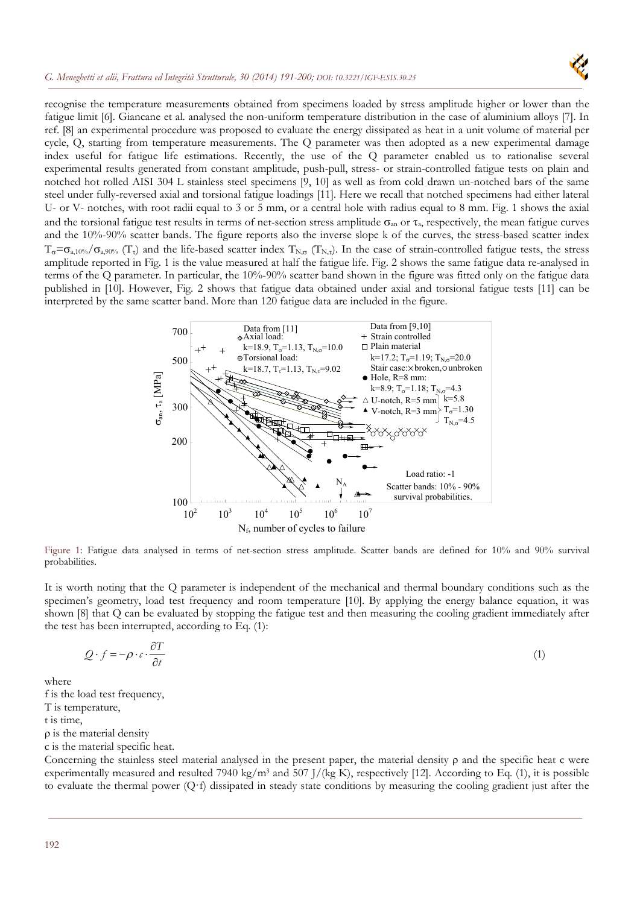

recognise the temperature measurements obtained from specimens loaded by stress amplitude higher or lower than the fatigue limit [6]. Giancane et al. analysed the non-uniform temperature distribution in the case of aluminium alloys [7]. In ref. [8] an experimental procedure was proposed to evaluate the energy dissipated as heat in a unit volume of material per cycle, Q, starting from temperature measurements. The Q parameter was then adopted as a new experimental damage index useful for fatigue life estimations. Recently, the use of the Q parameter enabled us to rationalise several experimental results generated from constant amplitude, push-pull, stress- or strain-controlled fatigue tests on plain and notched hot rolled AISI 304 L stainless steel specimens [9, 10] as well as from cold drawn un-notched bars of the same steel under fully-reversed axial and torsional fatigue loadings [11]. Here we recall that notched specimens had either lateral U- or V- notches, with root radii equal to 3 or 5 mm, or a central hole with radius equal to 8 mm. Fig. 1 shows the axial and the torsional fatigue test results in terms of net-section stress amplitude  $\sigma_{an}$  or  $\tau_a$ , respectively, the mean fatigue curves and the 10%-90% scatter bands. The figure reports also the inverse slope k of the curves, the stress-based scatter index  $T_{\sigma}=\sigma_{a,10\%}/\sigma_{a,90\%}$  (T<sub>t</sub>) and the life-based scatter index T<sub>N, $\sigma$ </sub> (T<sub>N,t</sub>). In the case of strain-controlled fatigue tests, the stress amplitude reported in Fig. 1 is the value measured at half the fatigue life. Fig. 2 shows the same fatigue data re-analysed in terms of the Q parameter. In particular, the 10%-90% scatter band shown in the figure was fitted only on the fatigue data published in [10]. However, Fig. 2 shows that fatigue data obtained under axial and torsional fatigue tests [11] can be interpreted by the same scatter band. More than 120 fatigue data are included in the figure.



Figure 1: Fatigue data analysed in terms of net-section stress amplitude. Scatter bands are defined for 10% and 90% survival probabilities.

It is worth noting that the Q parameter is independent of the mechanical and thermal boundary conditions such as the specimen's geometry, load test frequency and room temperature [10]. By applying the energy balance equation, it was shown [8] that Q can be evaluated by stopping the fatigue test and then measuring the cooling gradient immediately after the test has been interrupted, according to Eq. (1):

$$
Q \cdot f = -\rho \cdot c \cdot \frac{\partial T}{\partial t} \tag{1}
$$

where

f is the load test frequency,

T is temperature,

t is time,

 $\rho$  is the material density

c is the material specific heat.

Concerning the stainless steel material analysed in the present paper, the material density  $\rho$  and the specific heat c were experimentally measured and resulted 7940 kg/m3 and 507 J/(kg K), respectively [12]. According to Eq. (1), it is possible to evaluate the thermal power (Q·f) dissipated in steady state conditions by measuring the cooling gradient just after the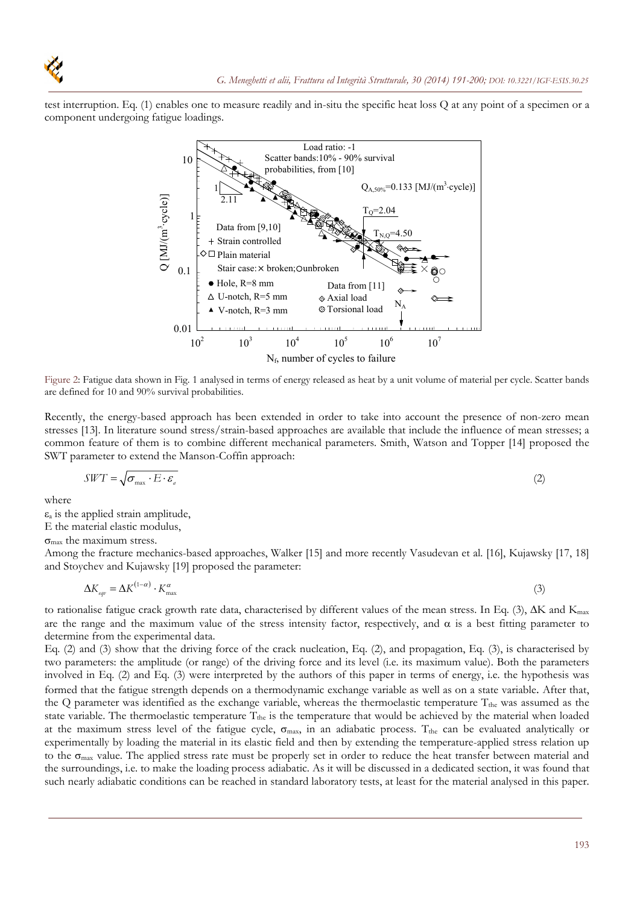

test interruption. Eq. (1) enables one to measure readily and in-situ the specific heat loss Q at any point of a specimen or a component undergoing fatigue loadings.



Figure 2: Fatigue data shown in Fig. 1 analysed in terms of energy released as heat by a unit volume of material per cycle. Scatter bands are defined for 10 and 90% survival probabilities.

Recently, the energy-based approach has been extended in order to take into account the presence of non-zero mean stresses [13]. In literature sound stress/strain-based approaches are available that include the influence of mean stresses; a common feature of them is to combine different mechanical parameters. Smith, Watson and Topper [14] proposed the SWT parameter to extend the Manson-Coffin approach:

$$
SWT = \sqrt{\sigma_{\text{max}} \cdot E \cdot \varepsilon_a} \tag{2}
$$

where

 $\varepsilon_a$  is the applied strain amplitude,

E the material elastic modulus,

 $\sigma_{\text{max}}$  the maximum stress.

Among the fracture mechanics-based approaches, Walker [15] and more recently Vasudevan et al. [16], Kujawsky [17, 18] and Stoychev and Kujawsky [19] proposed the parameter:

$$
\Delta K_{\text{eqv}} = \Delta K^{(1-\alpha)} \cdot K_{\text{max}}^{\alpha} \tag{3}
$$

to rationalise fatigue crack growth rate data, characterised by different values of the mean stress. In Eq.  $(3)$ ,  $\Delta K$  and  $K_{\text{max}}$ are the range and the maximum value of the stress intensity factor, respectively, and  $\alpha$  is a best fitting parameter to determine from the experimental data.

Eq. (2) and (3) show that the driving force of the crack nucleation, Eq. (2), and propagation, Eq. (3), is characterised by two parameters: the amplitude (or range) of the driving force and its level (i.e. its maximum value). Both the parameters involved in Eq. (2) and Eq. (3) were interpreted by the authors of this paper in terms of energy, i.e. the hypothesis was formed that the fatigue strength depends on a thermodynamic exchange variable as well as on a state variable. After that, the Q parameter was identified as the exchange variable, whereas the thermoelastic temperature  $T_{the}$  was assumed as the state variable. The thermoelastic temperature T<sub>the</sub> is the temperature that would be achieved by the material when loaded at the maximum stress level of the fatigue cycle,  $\sigma_{max}$ , in an adiabatic process. T<sub>the</sub> can be evaluated analytically or experimentally by loading the material in its elastic field and then by extending the temperature-applied stress relation up to the  $\sigma_{\text{max}}$  value. The applied stress rate must be properly set in order to reduce the heat transfer between material and the surroundings, i.e. to make the loading process adiabatic. As it will be discussed in a dedicated section, it was found that such nearly adiabatic conditions can be reached in standard laboratory tests, at least for the material analysed in this paper.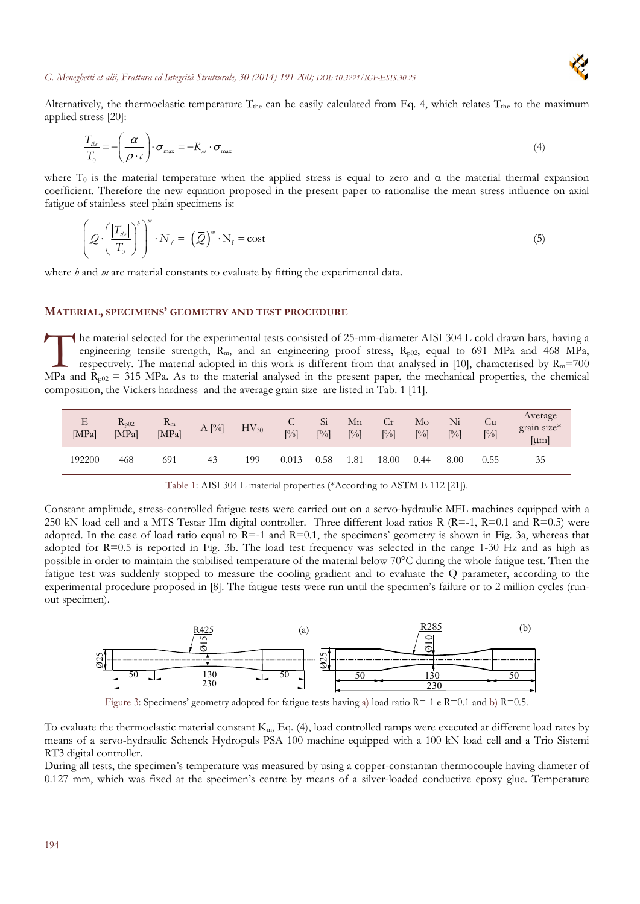

Alternatively, the thermoelastic temperature  $T_{the}$  can be easily calculated from Eq. 4, which relates  $T_{the}$  to the maximum applied stress [20]:

$$
\frac{T_{\scriptscriptstyle \text{the}}}{T_0} = -\left(\frac{\alpha}{\rho \cdot c}\right) \cdot \sigma_{\scriptscriptstyle \text{max}} = -K_m \cdot \sigma_{\scriptscriptstyle \text{max}} \tag{4}
$$

where  $T_0$  is the material temperature when the applied stress is equal to zero and  $\alpha$  the material thermal expansion coefficient. Therefore the new equation proposed in the present paper to rationalise the mean stress influence on axial fatigue of stainless steel plain specimens is:

$$
\left(\mathcal{Q}\cdot\left(\frac{|T_{\text{th}}|}{T_0}\right)^b\right)^m\cdot N_f = \left(\bar{\mathcal{Q}}\right)^m\cdot N_f = \text{cost}\tag{5}
$$

where *h* and *m* are material constants to evaluate by fitting the experimental data.

# **MATERIAL, SPECIMENS' GEOMETRY AND TEST PROCEDURE**

he material selected for the experimental tests consisted of 25-mm-diameter AISI 304 L cold drawn bars, having a engineering tensile strength,  $R_m$ , and an engineering proof stress,  $R_{p02}$ , equal to 691 MPa and 468 MPa, respectively. The material adopted in this work is different from that analysed in [10], characterised by  $R_m$ =700 The material selected for the experimental tests consisted of 25-mm-diameter AISI 304 L cold drawn bars, having a engineering tensile strength,  $R_m$ , and an engineering proof stress,  $R_{p02}$ , equal to 691 MPa and 468 MPa composition, the Vickers hardness and the average grain size are listed in Tab. 1 [11].

| Ε<br>[MPa] | $R_{p02}$<br>[MPa] | $R_m$<br>[MPa] | A [%] | $HV_{30}$ | U<br>[%] | Si<br>$\lceil\frac{9}{6}\rceil$ | Mn<br>$\lceil\frac{9}{6}\rceil$ | Cr<br>$\lceil\% \rceil$ | Mo<br>$\lceil\% \rceil$ | Ni<br>$\lceil\frac{9}{6}\rceil$ | Cu<br>$[\%]$ | Average<br>grain size*<br>$[\mu m]$ |
|------------|--------------------|----------------|-------|-----------|----------|---------------------------------|---------------------------------|-------------------------|-------------------------|---------------------------------|--------------|-------------------------------------|
| 192200     | 468                | 691            | 43    | 199       | 0.013    | 0.58                            | 1.81                            | 18.00                   | 0.44                    | 8.00                            | 0.55         | 35                                  |

Table 1: AISI 304 L material properties (\*According to ASTM E 112 [21]).

Constant amplitude, stress-controlled fatigue tests were carried out on a servo-hydraulic MFL machines equipped with a 250 kN load cell and a MTS Testar IIm digital controller. Three different load ratios R (R=-1, R=0.1 and R=0.5) were adopted. In the case of load ratio equal to  $R=1$  and  $R=0.1$ , the specimens' geometry is shown in Fig. 3a, whereas that adopted for R=0.5 is reported in Fig. 3b. The load test frequency was selected in the range 1-30 Hz and as high as possible in order to maintain the stabilised temperature of the material below 70°C during the whole fatigue test. Then the fatigue test was suddenly stopped to measure the cooling gradient and to evaluate the Q parameter, according to the experimental procedure proposed in [8]. The fatigue tests were run until the specimen's failure or to 2 million cycles (runout specimen).



Figure 3: Specimens' geometry adopted for fatigue tests having a) load ratio  $R=-1$  e  $R=0.1$  and b)  $R=0.5$ .

To evaluate the thermoelastic material constant  $K_m$ , Eq. (4), load controlled ramps were executed at different load rates by means of a servo-hydraulic Schenck Hydropuls PSA 100 machine equipped with a 100 kN load cell and a Trio Sistemi RT3 digital controller.

During all tests, the specimen's temperature was measured by using a copper-constantan thermocouple having diameter of 0.127 mm, which was fixed at the specimen's centre by means of a silver-loaded conductive epoxy glue. Temperature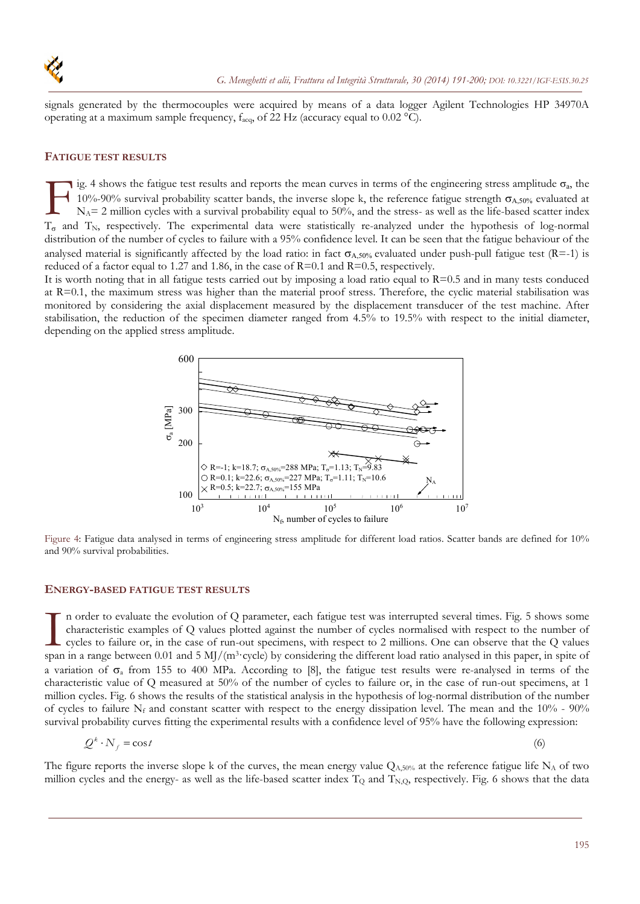

signals generated by the thermocouples were acquired by means of a data logger Agilent Technologies HP 34970A operating at a maximum sample frequency,  $f_{\text{acq}}$ , of 22 Hz (accuracy equal to 0.02 °C).

#### **FATIGUE TEST RESULTS**

ig. 4 shows the fatigue test results and reports the mean curves in terms of the engineering stress amplitude  $\sigma_a$ , the 10%-90% survival probability scatter bands, the inverse slope k, the reference fatigue strength  $\sigma_{A,50\%}$  evaluated at  $N_A$ = 2 million cycles with a survival probability equal to 50%, and the stress- as well as the life-based scatter index Ig. 4 shows the fatigue test results and reports the mean curves in terms of the engineering stress amplitude  $\sigma_a$ , the 10%-90% survival probability scatter bands, the inverse slope k, the reference fatigue strength  $\sigma_{$ distribution of the number of cycles to failure with a 95% confidence level. It can be seen that the fatigue behaviour of the analysed material is significantly affected by the load ratio: in fact  $\sigma_{A,50\%}$  evaluated under push-pull fatigue test (R=-1) is reduced of a factor equal to 1.27 and 1.86, in the case of  $R=0.1$  and  $R=0.5$ , respectively.

It is worth noting that in all fatigue tests carried out by imposing a load ratio equal to  $R=0.5$  and in many tests conduced at R=0.1, the maximum stress was higher than the material proof stress. Therefore, the cyclic material stabilisation was monitored by considering the axial displacement measured by the displacement transducer of the test machine. After stabilisation, the reduction of the specimen diameter ranged from 4.5% to 19.5% with respect to the initial diameter, depending on the applied stress amplitude.



Figure 4: Fatigue data analysed in terms of engineering stress amplitude for different load ratios. Scatter bands are defined for 10% and 90% survival probabilities.

#### **ENERGY-BASED FATIGUE TEST RESULTS**

n order to evaluate the evolution of Q parameter, each fatigue test was interrupted several times. Fig. 5 shows some characteristic examples of Q values plotted against the number of cycles normalised with respect to the number of cycles to failure or, in the case of run-out specimens, with respect to 2 millions. One can observe that the Q values In order to evaluate the evolution of Q parameter, each fatigue test was interrupted several times. Fig. 5 shows some characteristic examples of Q values plotted against the number of cycles normalised with respect to the a variation of  $\sigma_a$  from 155 to 400 MPa. According to [8], the fatigue test results were re-analysed in terms of the characteristic value of Q measured at 50% of the number of cycles to failure or, in the case of run-out specimens, at 1 million cycles. Fig. 6 shows the results of the statistical analysis in the hypothesis of log-normal distribution of the number of cycles to failure  $N_f$  and constant scatter with respect to the energy dissipation level. The mean and the 10% - 90% survival probability curves fitting the experimental results with a confidence level of 95% have the following expression:

$$
Q^k \cdot N_f = \cos t \tag{6}
$$

The figure reports the inverse slope k of the curves, the mean energy value  $Q_{A,50\%}$  at the reference fatigue life  $N_A$  of two million cycles and the energy- as well as the life-based scatter index  $T_Q$  and  $T_{N,Q}$ , respectively. Fig. 6 shows that the data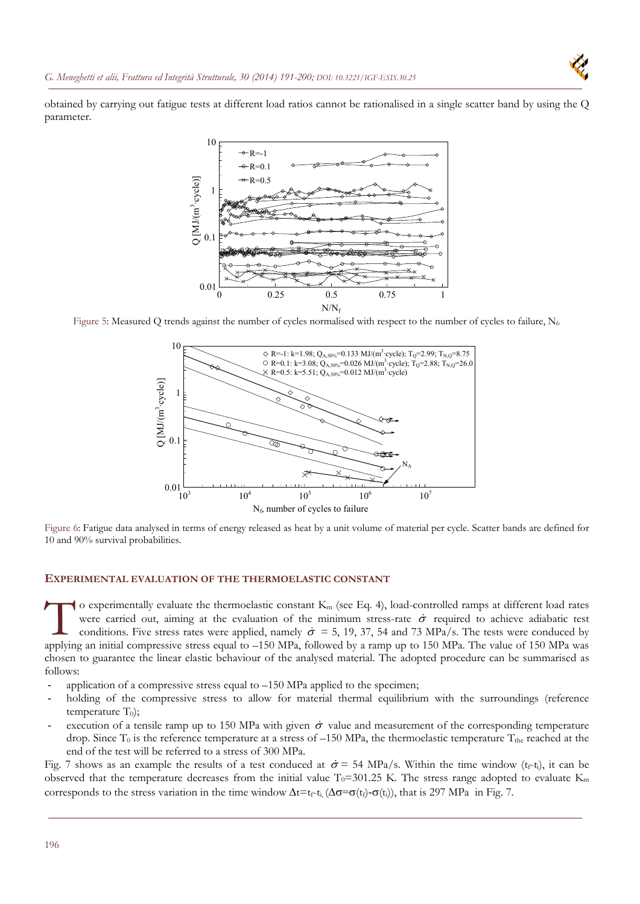obtained by carrying out fatigue tests at different load ratios cannot be rationalised in a single scatter band by using the Q parameter.



Figure 5: Measured Q trends against the number of cycles normalised with respect to the number of cycles to failure,  $N_f$ .



Figure 6: Fatigue data analysed in terms of energy released as heat by a unit volume of material per cycle. Scatter bands are defined for 10 and 90% survival probabilities.

#### **EXPERIMENTAL EVALUATION OF THE THERMOELASTIC CONSTANT**

o experimentally evaluate the thermoelastic constant  $K_m$  (see Eq. 4), load-controlled ramps at different load rates were carried out, aiming at the evaluation of the minimum stress-rate  $\dot{\sigma}$  required to achieve adiabatic test conditions. Five stress rates were applied, namely  $\dot{\sigma} = 5$ , 19, 37, 54 and 73 MPa/s. The tests were conduced by o experimentally evaluate the thermoelastic constant K<sub>m</sub> (see Eq. 4), load-controlled ramps at different load rates were carried out, aiming at the evaluation of the minimum stress-rate  $\dot{\sigma}$  required to achieve adiaba chosen to guarantee the linear elastic behaviour of the analysed material. The adopted procedure can be summarised as follows:

- application of a compressive stress equal to  $-150$  MPa applied to the specimen;
- holding of the compressive stress to allow for material thermal equilibrium with the surroundings (reference temperature  $T_0$ );
- execution of a tensile ramp up to 150 MPa with given  $\dot{\sigma}$  value and measurement of the corresponding temperature drop. Since  $T_0$  is the reference temperature at a stress of  $-150$  MPa, the thermoelastic temperature  $T_{\text{the}}$  reached at the end of the test will be referred to a stress of 300 MPa.

Fig. 7 shows as an example the results of a test conduced at  $\dot{\sigma} = 54 \text{ MPa/s}$ . Within the time window  $(t_f-t_i)$ , it can be observed that the temperature decreases from the initial value  $T_0$ =301.25 K. The stress range adopted to evaluate K<sub>m</sub> corresponds to the stress variation in the time window  $\Delta t = t_f - t_i$ ,  $(\Delta \sigma = \sigma(t_f) - \sigma(t_i))$ , that is 297 MPa in Fig. 7.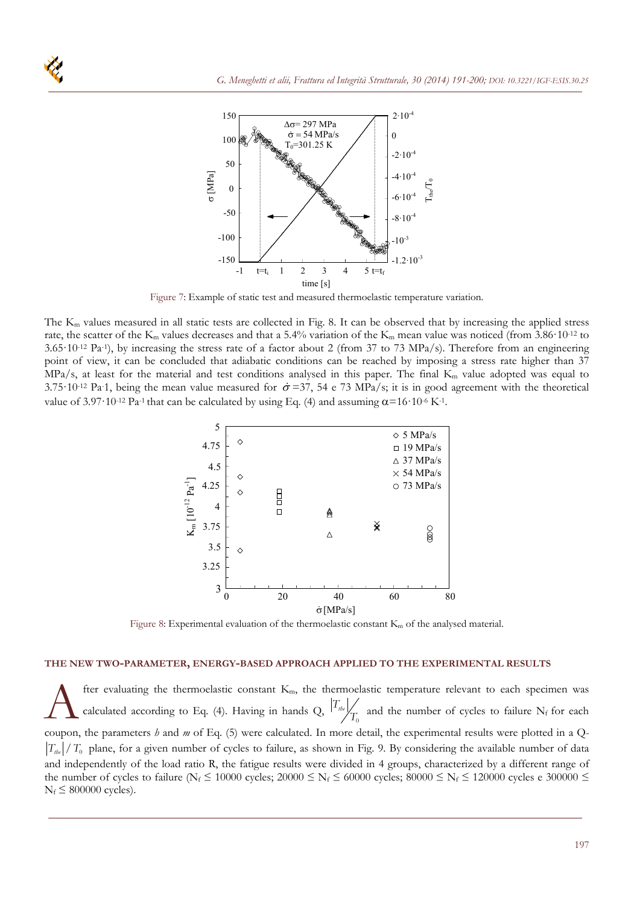

Figure 7: Example of static test and measured thermoelastic temperature variation.

The K<sub>m</sub> values measured in all static tests are collected in Fig. 8. It can be observed that by increasing the applied stress rate, the scatter of the  $K_m$  values decreases and that a 5.4% variation of the  $K_m$  mean value was noticed (from 3.86·10<sup>-12</sup> to  $3.65 \cdot 10^{-12}$  Pa<sup>-1</sup>), by increasing the stress rate of a factor about 2 (from 37 to 73 MPa/s). Therefore from an engineering point of view, it can be concluded that adiabatic conditions can be reached by imposing a stress rate higher than 37  $MPa/s$ , at least for the material and test conditions analysed in this paper. The final  $K<sub>m</sub>$  value adopted was equal to 3.75·10<sup>-12</sup> Pa-1, being the mean value measured for  $\dot{\sigma}$  =37, 54 e 73 MPa/s; it is in good agreement with the theoretical value of 3.97 $\cdot$ 10<sup>-12</sup> Pa<sup>-1</sup> that can be calculated by using Eq. (4) and assuming  $\alpha$ =16 $\cdot$ 10<sup>-6</sup> K<sup>-1</sup>.



Figure 8: Experimental evaluation of the thermoelastic constant  $K_m$  of the analysed material.

#### **THE NEW TWO-PARAMETER, ENERGY-BASED APPROACH APPLIED TO THE EXPERIMENTAL RESULTS**

fter evaluating the thermoelastic constant  $K<sub>m</sub>$ , the thermoelastic temperature relevant to each specimen was fter evaluating the thermoelastic constant  $K_m$ , the thermoelastic temperature relevant to each specimen was calculated according to Eq. (4). Having in hands Q,  $\left|T_{\text{th}}\right|$  and the number of cycles to failure N<sub>f</sub> for coupon, the parameters *h* and *m* of Eq. (5) were calculated. In more detail, the experimental results were plotted in a Q- $|T_{\mu\nu}|/T_0$  plane, for a given number of cycles to failure, as shown in Fig. 9. By considering the available number of data and independently of the load ratio R, the fatigue results were divided in 4 groups, characterized by a different range of the number of cycles to failure (N<sub>f</sub>  $\leq$  10000 cycles; 20000  $\leq$  N<sub>f</sub>  $\leq$  60000 cycles; 80000  $\leq$  N<sub>f</sub>  $\leq$  120000 cycles e 300000  $\leq$  $N_f \leq 800000$  cycles).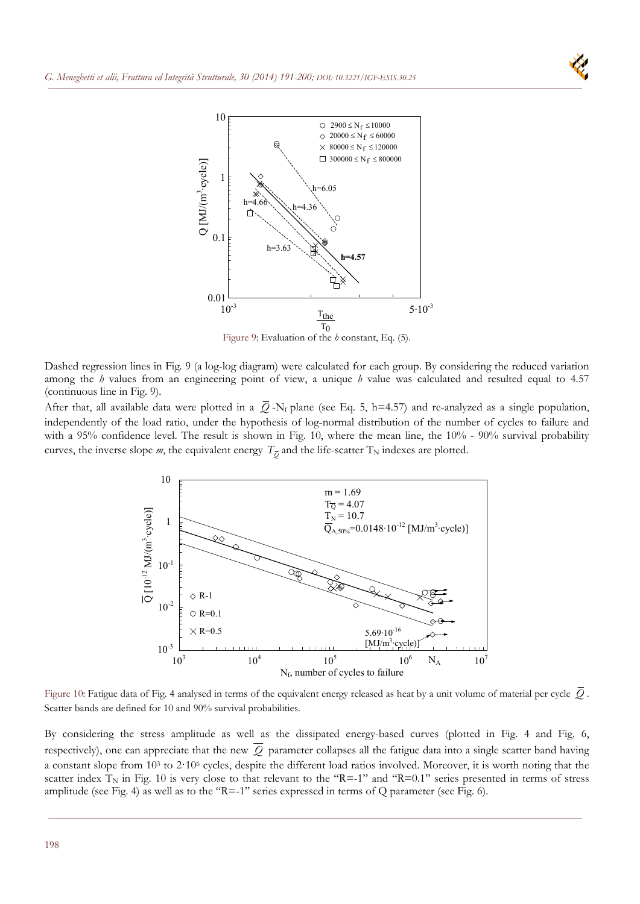



Figure 9: Evaluation of the *h* constant, Eq. (5).

Dashed regression lines in Fig. 9 (a log-log diagram) were calculated for each group. By considering the reduced variation among the *h* values from an engineering point of view, a unique *h* value was calculated and resulted equal to 4.57 (continuous line in Fig. 9).

After that, all available data were plotted in a  $\overline{Q}$ -N<sub>f</sub> plane (see Eq. 5, h=4.57) and re-analyzed as a single population, independently of the load ratio, under the hypothesis of log-normal distribution of the number of cycles to failure and with a 95% confidence level. The result is shown in Fig. 10, where the mean line, the 10% - 90% survival probability curves, the inverse slope *m*, the equivalent energy  $T_{\overline{O}}$  and the life-scatter  $T_N$  indexes are plotted.



Figure 10: Fatigue data of Fig. 4 analysed in terms of the equivalent energy released as heat by a unit volume of material per cycle *Q* . Scatter bands are defined for 10 and 90% survival probabilities.

By considering the stress amplitude as well as the dissipated energy-based curves (plotted in Fig. 4 and Fig. 6, respectively), one can appreciate that the new  $\overline{Q}$  parameter collapses all the fatigue data into a single scatter band having a constant slope from 103 to 2·106 cycles, despite the different load ratios involved. Moreover, it is worth noting that the scatter index  $T_N$  in Fig. 10 is very close to that relevant to the "R=-1" and "R=0.1" series presented in terms of stress amplitude (see Fig. 4) as well as to the "R=-1" series expressed in terms of Q parameter (see Fig. 6).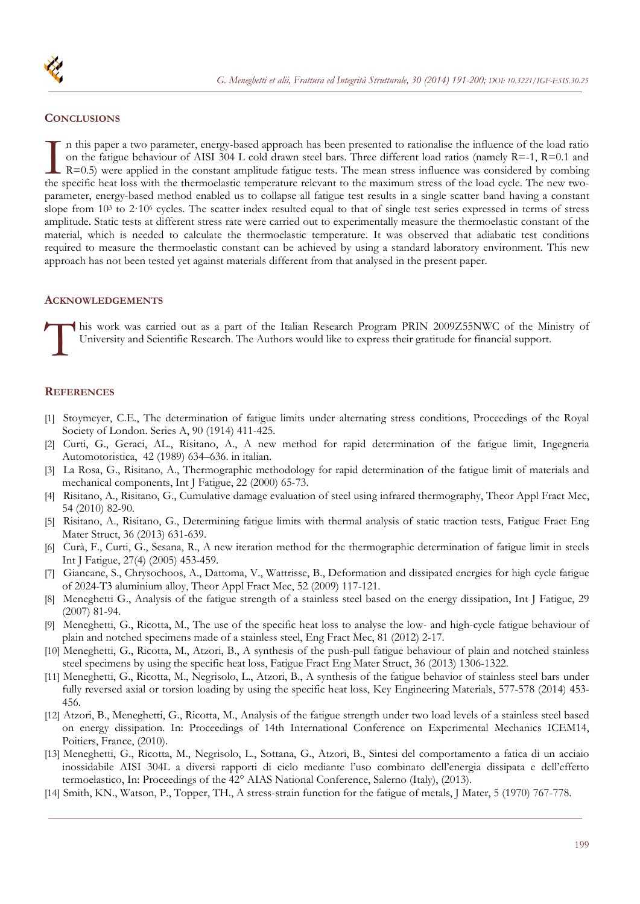

### **CONCLUSIONS**

n this paper a two parameter, energy-based approach has been presented to rationalise the influence of the load ratio on the fatigue behaviour of AISI 304 L cold drawn steel bars. Three different load ratios (namely  $R=1$ ,  $R=0.1$  and R=0.5) were applied in the constant amplitude fatigue tests. The mean stress influence was considered by combing In this paper a two parameter, energy-based approach has been presented to rationalise the influence of the load ratio<br>on the fatigue behaviour of AISI 304 L cold drawn steel bars. Three different load ratios (namely  $R=1$ parameter, energy-based method enabled us to collapse all fatigue test results in a single scatter band having a constant slope from  $10<sup>3</sup>$  to  $2.10<sup>6</sup>$  cycles. The scatter index resulted equal to that of single test series expressed in terms of stress amplitude. Static tests at different stress rate were carried out to experimentally measure the thermoelastic constant of the material, which is needed to calculate the thermoelastic temperature. It was observed that adiabatic test conditions required to measure the thermoelastic constant can be achieved by using a standard laboratory environment. This new approach has not been tested yet against materials different from that analysed in the present paper.

# **ACKNOWLEDGEMENTS**

his work was carried out as a part of the Italian Research Program PRIN 2009Z55NWC of the Ministry of University and Scientific Research. The Authors would like to express their gratitude for financial support. This

#### **REFERENCES**

- [1] Stoymeyer, C.E., The determination of fatigue limits under alternating stress conditions, Proceedings of the Royal Society of London. Series A, 90 (1914) 411-425.
- [2] Curti, G., Geraci, AL., Risitano, A., A new method for rapid determination of the fatigue limit, Ingegneria Automotoristica, 42 (1989) 634–636. in italian.
- [3] La Rosa, G., Risitano, A., Thermographic methodology for rapid determination of the fatigue limit of materials and mechanical components, Int J Fatigue, 22 (2000) 65-73.
- [4] Risitano, A., Risitano, G., Cumulative damage evaluation of steel using infrared thermography, Theor Appl Fract Mec, 54 (2010) 82-90.
- [5] Risitano, A., Risitano, G., Determining fatigue limits with thermal analysis of static traction tests, Fatigue Fract Eng Mater Struct, 36 (2013) 631-639.
- [6] Curà, F., Curti, G., Sesana, R., A new iteration method for the thermographic determination of fatigue limit in steels Int J Fatigue, 27(4) (2005) 453-459.
- [7] Giancane, S., Chrysochoos, A., Dattoma, V., Wattrisse, B., Deformation and dissipated energies for high cycle fatigue of 2024-T3 aluminium alloy, Theor Appl Fract Mec, 52 (2009) 117-121.
- [8] Meneghetti G., Analysis of the fatigue strength of a stainless steel based on the energy dissipation, Int J Fatigue, 29 (2007) 81-94.
- [9] Meneghetti, G., Ricotta, M., The use of the specific heat loss to analyse the low- and high-cycle fatigue behaviour of plain and notched specimens made of a stainless steel, Eng Fract Mec, 81 (2012) 2-17.
- [10] Meneghetti, G., Ricotta, M., Atzori, B., A synthesis of the push-pull fatigue behaviour of plain and notched stainless steel specimens by using the specific heat loss, Fatigue Fract Eng Mater Struct, 36 (2013) 1306-1322.
- [11] Meneghetti, G., Ricotta, M., Negrisolo, L., Atzori, B., A synthesis of the fatigue behavior of stainless steel bars under fully reversed axial or torsion loading by using the specific heat loss, Key Engineering Materials, 577-578 (2014) 453- 456.
- [12] Atzori, B., Meneghetti, G., Ricotta, M., Analysis of the fatigue strength under two load levels of a stainless steel based on energy dissipation. In: Proceedings of 14th International Conference on Experimental Mechanics ICEM14, Poitiers, France, (2010).
- [13] Meneghetti, G., Ricotta, M., Negrisolo, L., Sottana, G., Atzori, B., Sintesi del comportamento a fatica di un acciaio inossidabile AISI 304L a diversi rapporti di ciclo mediante l'uso combinato dell'energia dissipata e dell'effetto termoelastico, In: Proceedings of the 42° AIAS National Conference, Salerno (Italy), (2013).
- [14] Smith, KN., Watson, P., Topper, TH., A stress-strain function for the fatigue of metals, J Mater, 5 (1970) 767-778.